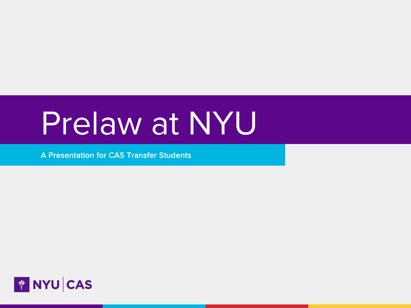# Prelaw at NYU

A Presentation for CAS Transfer Students

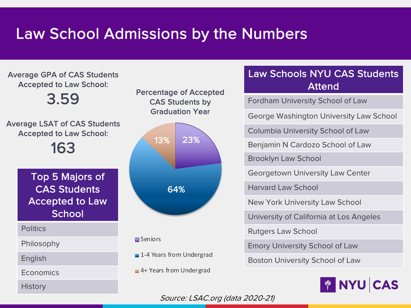# Law School Admissions by the Numbers



#### Law Schools NYU CAS Students Attend

Fordham University School of Law

George Washington University Law School

Columbia University School of Law

Benjamin N Cardozo School of Law

Brooklyn Law School

Georgetown University Law Center

Harvard Law School

New York University Law School

University of California at Los Angeles

Rutgers Law School

Emory University School of Law

Boston University School of Law



Source: LSAC.org (data 2020-21)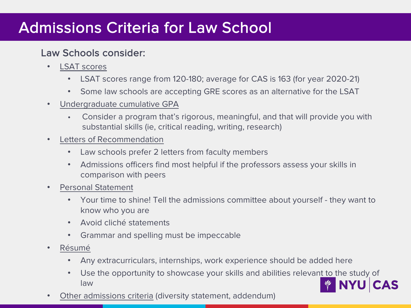# Admissions Criteria for Law School

#### Law Schools consider:

- **LSAT** scores
	- LSAT scores range from 120-180; average for CAS is 163 (for year 2020-21)
	- Some law schools are accepting GRE scores as an alternative for the LSAT
- Undergraduate cumulative GPA
	- Consider a program that's rigorous, meaningful, and that will provide you with substantial skills (ie, critical reading, writing, research)
- Letters of Recommendation
	- Law schools prefer 2 letters from faculty members
	- Admissions officers find most helpful if the professors assess your skills in comparison with peers
- Personal Statement
	- Your time to shine! Tell the admissions committee about yourself they want to know who you are
	- Avoid cliché statements
	- Grammar and spelling must be impeccable
- Résumé
	- Any extracurriculars, internships, work experience should be added here
	- Use the opportunity to showcase your skills and abilities relevant to the study of law
- Other admissions criteria (diversity statement, addendum)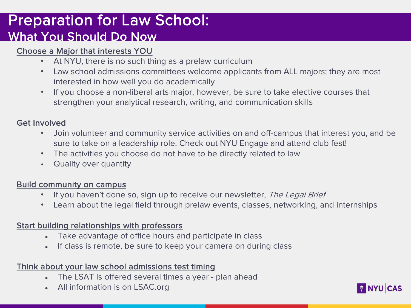### Preparation for Law School: What You Should Do Now

#### Choose a Major that interests YOU

- At NYU, there is no such thing as a prelaw curriculum
- Law school admissions committees welcome applicants from ALL majors; they a interested in how well you do academically
- If you choose a non-liberal arts major, however, be sure to take elective course strengthen your analytical research, writing, and communication skills

#### Get Involved

- Join volunteer and community service activities on and off-campus that interest sure to take on a leadership role. Check out NYU Engage and attend club fest!
- The activities you choose do not have to be directly related to law
- Quality over quantity

#### Build community on campus

- If you haven't done so, sign up to receive our newsletter, The Legal Brief
- Learn about the legal field through prelaw events, classes, networking, and inte

#### Start building relationships with professors

- Take advantage of office hours and participate in class
- If class is remote, be sure to keep your camera on during class

#### Think about your law school admissions test timing

- The LSAT is offered several times a year plan ahead
- All information is on LSAC.org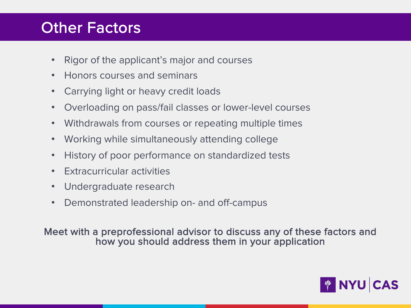# Other Factors

- Rigor of the applicant's major and courses
- Honors courses and seminars
- Carrying light or heavy credit loads
- Overloading on pass/fail classes or lower-level courses
- Withdrawals from courses or repeating multiple times
- Working while simultaneously attending college
- History of poor performance on standardized tests
- Extracurricular activities
- Undergraduate research
- Demonstrated leadership on- and off-campus

Meet with a preprofessional advisor to discuss any of these factors and how you should address them in your application

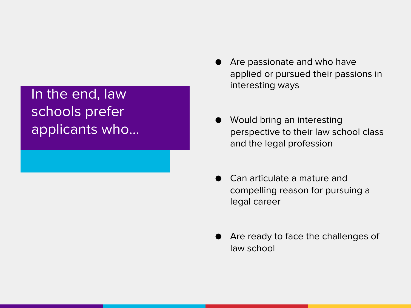# In the end, law schools prefer applicants who…

- Are passionate and who have applied or pursued their passions in interesting ways
- Would bring an interesting perspective to their law school class and the legal profession
- Can articulate a mature and compelling reason for pursuing a legal career
- Are ready to face the challenges of law school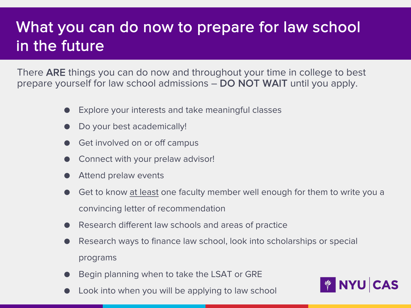# What you can do now to prepare for law school in the future

There ARE things you can do now and throughout your time in college to best prepare yourself for law school admissions – DO NOT WAIT until you apply.

- Explore your interests and take meaningful classes
- Do your best academically!
- Get involved on or off campus
- Connect with your prelaw advisor!
- Attend prelaw events
- Get to know at least one faculty member well enough for them to write you a convincing letter of recommendation
- Research different law schools and areas of practice
- Research ways to finance law school, look into scholarships or special programs
- Begin planning when to take the LSAT or GRE
- Look into when you will be applying to law school